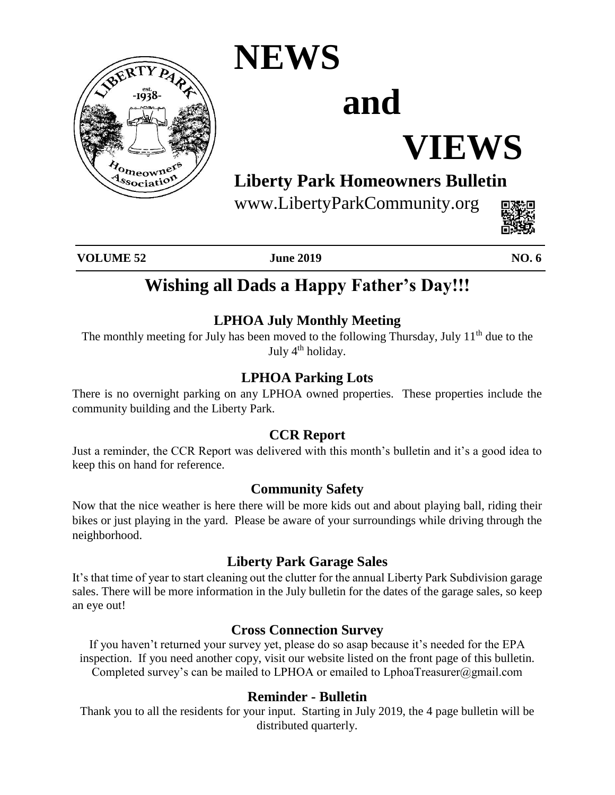

### **NEWS**

# **and**

## **VIEWS**

### **Liberty Park Homeowners Bulletin**

www.LibertyParkCommunity.org



**VOLUME 52 June 2019 NO. 6**

### **Wishing all Dads a Happy Father's Day!!!**

#### **LPHOA July Monthly Meeting**

The monthly meeting for July has been moved to the following Thursday, July 11<sup>th</sup> due to the July 4<sup>th</sup> holiday.

#### **LPHOA Parking Lots**

There is no overnight parking on any LPHOA owned properties. These properties include the community building and the Liberty Park.

#### **CCR Report**

Just a reminder, the CCR Report was delivered with this month's bulletin and it's a good idea to keep this on hand for reference.

#### **Community Safety**

Now that the nice weather is here there will be more kids out and about playing ball, riding their bikes or just playing in the yard. Please be aware of your surroundings while driving through the neighborhood.

#### **Liberty Park Garage Sales**

It's that time of year to start cleaning out the clutter for the annual Liberty Park Subdivision garage sales. There will be more information in the July bulletin for the dates of the garage sales, so keep an eye out!

#### **Cross Connection Survey**

If you haven't returned your survey yet, please do so asap because it's needed for the EPA inspection. If you need another copy, visit our website listed on the front page of this bulletin. Completed survey's can be mailed to LPHOA or emailed to LphoaTreasurer@gmail.com

#### **Reminder - Bulletin**

Thank you to all the residents for your input. Starting in July 2019, the 4 page bulletin will be distributed quarterly.